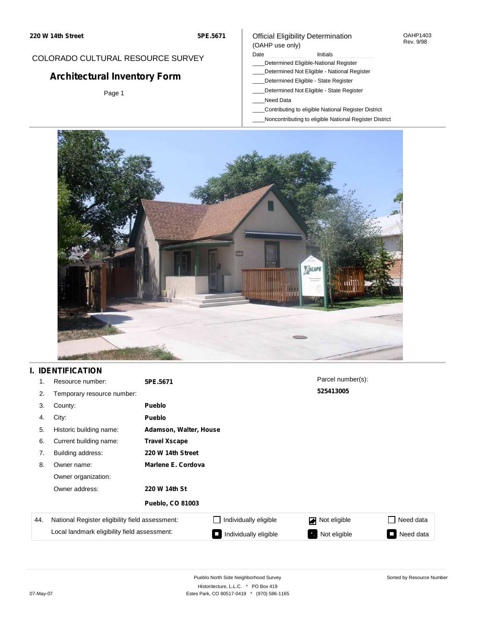## Official Eligibility Determination (OAHP use only)

OAHP1403 Rev. 9/98

## COLORADO CULTURAL RESOURCE SURVEY

# **Architectural Inventory Form**

Page 1

### Date **Initials** Initials

- \_\_\_\_Determined Eligible-National Register
- \_\_\_\_Determined Not Eligible National Register
- \_\_\_\_Determined Eligible State Register
- \_\_\_\_Determined Not Eligible State Register
- \_\_\_\_Need Data
- \_\_\_\_Contributing to eligible National Register District
- \_\_\_\_Noncontributing to eligible National Register District



## **I. IDENTIFICATION**

| 1.  | Resource number:                                | 5PE.5671                |                        | Parcel number(s):              |           |
|-----|-------------------------------------------------|-------------------------|------------------------|--------------------------------|-----------|
| 2.  | Temporary resource number:                      |                         |                        | 525413005                      |           |
| 3.  | County:                                         | <b>Pueblo</b>           |                        |                                |           |
| 4.  | City:                                           | Pueblo                  |                        |                                |           |
| 5.  | Historic building name:                         |                         | Adamson, Walter, House |                                |           |
| 6.  | Current building name:                          | <b>Travel Xscape</b>    |                        |                                |           |
| 7.  | Building address:                               | 220 W 14th Street       |                        |                                |           |
| 8.  | Owner name:                                     | Marlene E. Cordova      |                        |                                |           |
|     | Owner organization:                             |                         |                        |                                |           |
|     | Owner address:                                  | 220 W 14th St           |                        |                                |           |
|     |                                                 | <b>Pueblo, CO 81003</b> |                        |                                |           |
| 44. | National Register eligibility field assessment: |                         | Individually eligible  | Not eligible<br>$\blacksquare$ | Need data |
|     | Local landmark eligibility field assessment:    |                         | Individually eligible  | Not eligible                   | Need data |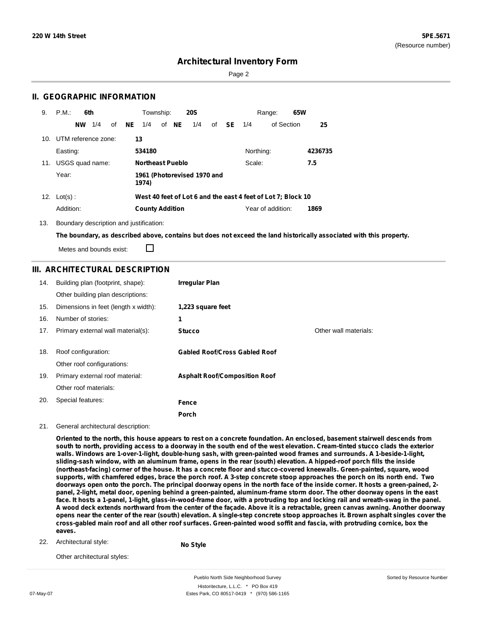Sorted by Resource Number

## **Architectural Inventory Form**

Page 2

## **II. GEOGRAPHIC INFORMATION**

| 9.  | P.M.<br>6th            | Township:                                                    | <b>20S</b>        | 65W<br>Range:     |         |
|-----|------------------------|--------------------------------------------------------------|-------------------|-------------------|---------|
|     | 1/4<br>οf<br><b>NW</b> | NE<br>of NE<br>1/4                                           | 1/4<br>of<br>- SE | of Section<br>1/4 | 25      |
| 10. | UTM reference zone:    | 13                                                           |                   |                   |         |
|     | Easting:               | 534180                                                       |                   | Northing:         | 4236735 |
| 11. | USGS quad name:        | <b>Northeast Pueblo</b>                                      |                   | Scale:            | 7.5     |
|     | Year:                  | 1961 (Photorevised 1970 and<br>1974)                         |                   |                   |         |
| 12. | $Lot(s)$ :             | West 40 feet of Lot 6 and the east 4 feet of Lot 7; Block 10 |                   |                   |         |
|     | Addition:              | <b>County Addition</b>                                       |                   | Year of addition: | 1869    |

13. Boundary description and justification:

The boundary, as described above, contains but does not exceed the land historically associated with this property.

Metes and bounds exist:

П

## **III. ARCHITECTURAL DESCRIPTION**

| 14. | Building plan (footprint, shape):    | <b>Irregular Plan</b>                |                       |
|-----|--------------------------------------|--------------------------------------|-----------------------|
|     | Other building plan descriptions:    |                                      |                       |
| 15. | Dimensions in feet (length x width): | 1,223 square feet                    |                       |
| 16. | Number of stories:                   | 1                                    |                       |
| 17. | Primary external wall material(s):   | <b>Stucco</b>                        | Other wall materials: |
|     |                                      |                                      |                       |
| 18. | Roof configuration:                  | <b>Gabled Roof/Cross Gabled Roof</b> |                       |
|     | Other roof configurations:           |                                      |                       |
| 19. | Primary external roof material:      | <b>Asphalt Roof/Composition Roof</b> |                       |
|     | Other roof materials:                |                                      |                       |
| 20. | Special features:                    | Fence                                |                       |
|     |                                      | Porch                                |                       |

#### 21. General architectural description:

Oriented to the north, this house appears to rest on a concrete foundation. An enclosed, basement stairwell descends from south to north, providing access to a doorway in the south end of the west elevation. Cream-tinted stucco clads the exterior **walls. Windows are 1-over-1-light, double-hung sash, with green-painted wood frames and surrounds. A 1-beside-1-light,** sliding-sash window, with an aluminum frame, opens in the rear (south) elevation. A hipped-roof porch fills the inside (northeast-facing) corner of the house. It has a concrete floor and stucco-covered kneewalls. Green-painted, square, wood supports, with chamfered edges, brace the porch roof. A 3-step concrete stoop approaches the porch on its north end. Two doorways open onto the porch. The principal doorway opens in the north face of the inside corner. It hosts a green-pained, 2panel, 2-light, metal door, opening behind a green-painted, aluminum-frame storm door. The other doorway opens in the east face. It hosts a 1-panel, 1-light, glass-in-wood-frame door, with a protruding top and locking rail and wreath-swag in the panel. A wood deck extends northward from the center of the façade. Above it is a retractable, green canvas awning. Another doorway opens near the center of the rear (south) elevation. A single-step concrete stoop approaches it. Brown asphalt singles cover the cross-gabled main roof and all other roof surfaces. Green-painted wood soffit and fascia, with protruding cornice, box the **eaves.**

22. Architectural style:

**No Style**

Other architectural styles:

Pueblo North Side Neighborhood Survey Historitecture, L.L.C. \* PO Box 419 07-May-07 **Estes Park, CO 80517-0419** \* (970) 586-1165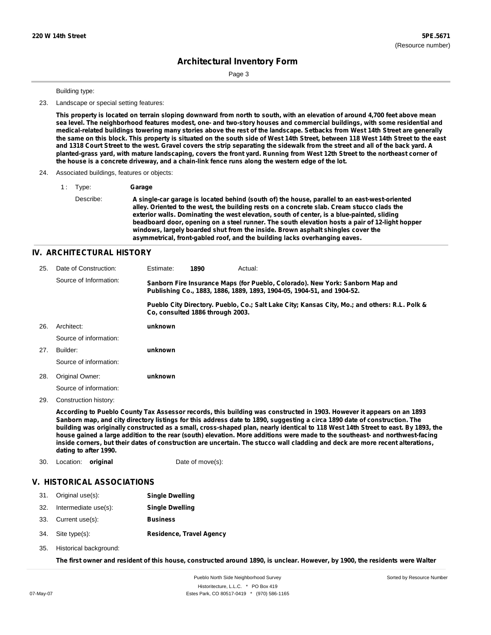Page 3

#### Building type:

23. Landscape or special setting features:

This property is located on terrain sloping downward from north to south, with an elevation of around 4,700 feet above mean sea level. The neighborhood features modest, one- and two-story houses and commercial buildings, with some residential and medical-related buildings towering many stories above the rest of the landscape. Setbacks from West 14th Street are generally the same on this block. This property is situated on the south side of West 14th Street, between 118 West 14th Street to the east and 1318 Court Street to the west. Gravel covers the strip separating the sidewalk from the street and all of the back yard. A planted-grass yard, with mature landscaping, covers the front yard. Running from West 12th Street to the northeast corner of **the house is a concrete driveway, and a chain-link fence runs along the western edge of the lot.**

#### 24. Associated buildings, features or objects:

| 1: | Type:     | Garage                                                                                                                                                                                                                                                                                                                                                                                                                                                                                                                                                       |
|----|-----------|--------------------------------------------------------------------------------------------------------------------------------------------------------------------------------------------------------------------------------------------------------------------------------------------------------------------------------------------------------------------------------------------------------------------------------------------------------------------------------------------------------------------------------------------------------------|
|    | Describe: | A single-car garage is located behind (south of) the house, parallel to an east-west-oriented<br>alley. Oriented to the west, the building rests on a concrete slab. Cream stucco clads the<br>exterior walls. Dominating the west elevation, south of center, is a blue-painted, sliding<br>beadboard door, opening on a steel runner. The south elevation hosts a pair of 12-light hopper<br>windows, largely boarded shut from the inside. Brown asphalt shingles cover the<br>asymmetrical, front-gabled roof, and the building lacks overhanging eaves. |

#### **IV. ARCHITECTURAL HISTORY**

| 25. | Date of Construction:  | Estimate:                                                                                                                                               | 1890 | Actual:                                                                                       |
|-----|------------------------|---------------------------------------------------------------------------------------------------------------------------------------------------------|------|-----------------------------------------------------------------------------------------------|
|     | Source of Information: | Sanborn Fire Insurance Maps (for Pueblo, Colorado). New York: Sanborn Map and<br>Publishing Co., 1883, 1886, 1889, 1893, 1904-05, 1904-51, and 1904-52. |      |                                                                                               |
|     |                        | Co. consulted 1886 through 2003.                                                                                                                        |      | Pueblo City Directory. Pueblo, Co.; Salt Lake City; Kansas City, Mo.; and others: R.L. Polk & |
| 26. | Architect:             | unknown                                                                                                                                                 |      |                                                                                               |
|     | Source of information: |                                                                                                                                                         |      |                                                                                               |
| 27. | Builder:               | unknown                                                                                                                                                 |      |                                                                                               |
|     | Source of information: |                                                                                                                                                         |      |                                                                                               |
| 28. | Original Owner:        | unknown                                                                                                                                                 |      |                                                                                               |
|     | Source of information: |                                                                                                                                                         |      |                                                                                               |

29. Construction history:

According to Pueblo County Tax Assessor records, this building was constructed in 1903. However it appears on an 1893 Sanborn map, and city directory listings for this address date to 1890, suggesting a circa 1890 date of construction. The building was originally constructed as a small, cross-shaped plan, nearly identical to 118 West 14th Street to east. By 1893, the house gained a large addition to the rear (south) elevation. More additions were made to the southeast- and northwest-facing inside corners, but their dates of construction are uncertain. The stucco wall cladding and deck are more recent alterations, **dating to after 1990.**

30. Location: **original** Date of move(s):

### **V. HISTORICAL ASSOCIATIONS**

- 31. Original use(s): **Single Dwelling**
- 32. Intermediate use(s): **Single Dwelling**
- 33. Current use(s): **Business**
- **Residence, Travel Agency** Site type(s): 34.
- 35. Historical background:

The first owner and resident of this house, constructed around 1890, is unclear. However, by 1900, the residents were Walter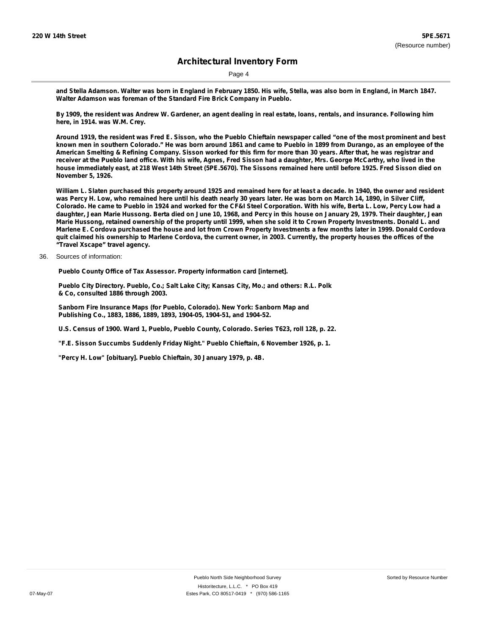Page 4

and Stella Adamson. Walter was born in England in February 1850. His wife, Stella, was also born in England, in March 1847. **Walter Adamson was foreman of the Standard Fire Brick Company in Pueblo.**

By 1909, the resident was Andrew W. Gardener, an agent dealing in real estate, loans, rentals, and insurance. Following him **here, in 1914. was W.M. Crey.**

Around 1919, the resident was Fred E. Sisson, who the Pueblo Chieftain newspaper called "one of the most prominent and best known men in southern Colorado." He was born around 1861 and came to Pueblo in 1899 from Durango, as an employee of the American Smelting & Refining Company. Sisson worked for this firm for more than 30 years. After that, he was registrar and receiver at the Pueblo land office. With his wife, Agnes, Fred Sisson had a daughter, Mrs. George McCarthy, who lived in the house immediately east, at 218 West 14th Street (5PE.5670). The Sissons remained here until before 1925. Fred Sisson died on **November 5, 1926.**

William L. Slaten purchased this property around 1925 and remained here for at least a decade. In 1940, the owner and resident was Percy H. Low, who remained here until his death nearly 30 years later. He was born on March 14, 1890, in Silver Cliff, Colorado. He came to Pueblo in 1924 and worked for the CF&I Steel Corporation. With his wife, Berta L. Low, Percy Low had a daughter, Jean Marie Hussong, Berta died on June 10, 1968, and Percy in this house on January 29, 1979. Their daughter, Jean Marie Hussong, retained ownership of the property until 1999, when she sold it to Crown Property Investments. Donald L. and Marlene E. Cordova purchased the house and lot from Crown Property Investments a few months later in 1999. Donald Cordova quit claimed his ownership to Marlene Cordova, the current owner, in 2003. Currently, the property houses the offices of the **"Travel Xscape" travel agency.**

36. Sources of information:

**Pueblo County Office of Tax Assessor. Property information card [internet].**

**Pueblo City Directory. Pueblo, Co.; Salt Lake City; Kansas City, Mo.; and others: R.L. Polk & Co, consulted 1886 through 2003.**

**Sanborn Fire Insurance Maps (for Pueblo, Colorado). New York: Sanborn Map and Publishing Co., 1883, 1886, 1889, 1893, 1904-05, 1904-51, and 1904-52.**

**U.S. Census of 1900. Ward 1, Pueblo, Pueblo County, Colorado. Series T623, roll 128, p. 22.**

**"F.E. Sisson Succumbs Suddenly Friday Night." Pueblo Chieftain, 6 November 1926, p. 1.**

**"Percy H. Low" [obituary]. Pueblo Chieftain, 30 January 1979, p. 4B.**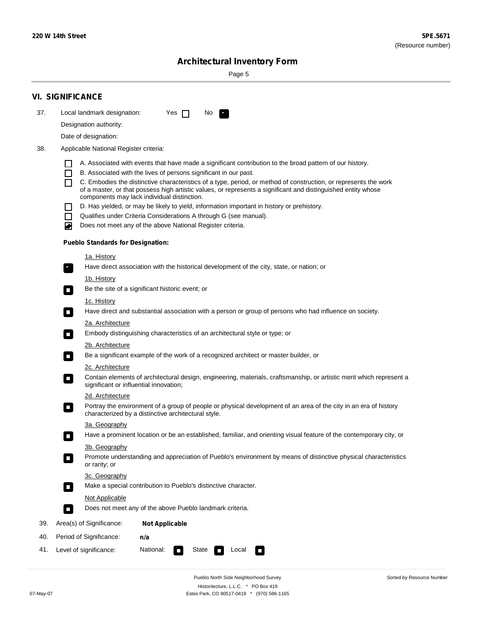Sorted by Resource Number

# **Architectural Inventory Form**

Page 5

|                                               | <b>VI. SIGNIFICANCE</b>                                                                                                                                                                        |  |  |
|-----------------------------------------------|------------------------------------------------------------------------------------------------------------------------------------------------------------------------------------------------|--|--|
| 37.                                           | Local landmark designation:<br>Yes $\Box$<br>No.<br>$\mathbf{F}_{\mathbf{r}}$                                                                                                                  |  |  |
|                                               | Designation authority:                                                                                                                                                                         |  |  |
|                                               | Date of designation:                                                                                                                                                                           |  |  |
| 38.<br>Applicable National Register criteria: |                                                                                                                                                                                                |  |  |
|                                               |                                                                                                                                                                                                |  |  |
|                                               | A. Associated with events that have made a significant contribution to the broad pattern of our history.<br>B. Associated with the lives of persons significant in our past.<br>$\blacksquare$ |  |  |
|                                               | C. Embodies the distinctive characteristics of a type, period, or method of construction, or represents the work<br>П                                                                          |  |  |
|                                               | of a master, or that possess high artistic values, or represents a significant and distinguished entity whose<br>components may lack individual distinction.                                   |  |  |
|                                               | D. Has yielded, or may be likely to yield, information important in history or prehistory.                                                                                                     |  |  |
|                                               | Qualifies under Criteria Considerations A through G (see manual).<br>$\sim$                                                                                                                    |  |  |
|                                               | Does not meet any of the above National Register criteria.<br>₩                                                                                                                                |  |  |
|                                               | <b>Pueblo Standards for Designation:</b>                                                                                                                                                       |  |  |
|                                               | 1a. History                                                                                                                                                                                    |  |  |
|                                               | $\overline{\mathbf{r}}_1$<br>Have direct association with the historical development of the city, state, or nation; or                                                                         |  |  |
|                                               | <u>1b. History</u>                                                                                                                                                                             |  |  |
|                                               | Be the site of a significant historic event; or<br>$\overline{\phantom{a}}$                                                                                                                    |  |  |
|                                               | 1c. History                                                                                                                                                                                    |  |  |
|                                               | Have direct and substantial association with a person or group of persons who had influence on society.<br>$\overline{\phantom{a}}$                                                            |  |  |
|                                               | 2a. Architecture<br>Embody distinguishing characteristics of an architectural style or type; or                                                                                                |  |  |
|                                               | $\Box$<br>2b. Architecture                                                                                                                                                                     |  |  |
|                                               | Be a significant example of the work of a recognized architect or master builder, or<br>$\Box$                                                                                                 |  |  |
|                                               | 2c. Architecture                                                                                                                                                                               |  |  |
|                                               | Contain elements of architectural design, engineering, materials, craftsmanship, or artistic merit which represent a<br>$\Box$<br>significant or influential innovation;                       |  |  |
|                                               | 2d. Architecture                                                                                                                                                                               |  |  |
|                                               | Portray the environment of a group of people or physical development of an area of the city in an era of history<br>$\Box$<br>characterized by a distinctive architectural style.              |  |  |
|                                               | 3a. Geography                                                                                                                                                                                  |  |  |
|                                               | Have a prominent location or be an established, familiar, and orienting visual feature of the contemporary city, or                                                                            |  |  |
|                                               | 3b. Geography                                                                                                                                                                                  |  |  |
|                                               | Promote understanding and appreciation of Pueblo's environment by means of distinctive physical characteristics<br>or rarity; or                                                               |  |  |
|                                               | 3c. Geography                                                                                                                                                                                  |  |  |
|                                               | Make a special contribution to Pueblo's distinctive character.<br>$\overline{\phantom{a}}$                                                                                                     |  |  |
|                                               | <b>Not Applicable</b>                                                                                                                                                                          |  |  |
|                                               | Does not meet any of the above Pueblo landmark criteria.<br>$\overline{\phantom{a}}$                                                                                                           |  |  |
| 39.                                           | Area(s) of Significance:<br><b>Not Applicable</b>                                                                                                                                              |  |  |
| 40.                                           | Period of Significance:<br>n/a                                                                                                                                                                 |  |  |
| 41.                                           | Level of significance:<br>National:<br>State<br>Local<br>$\mathcal{L}_{\mathcal{A}}$<br>$\Box$                                                                                                 |  |  |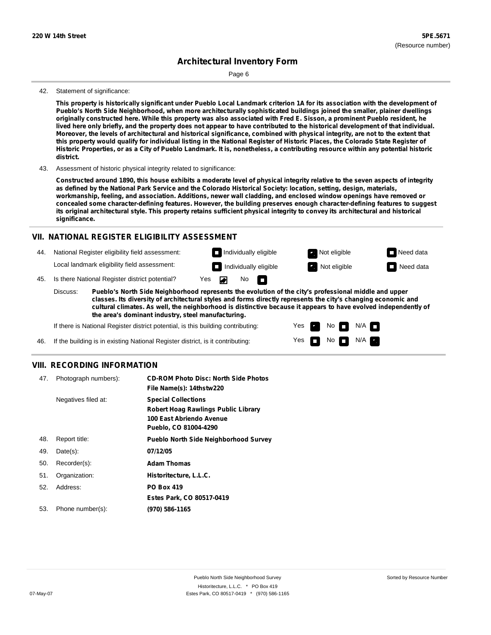Page 6

#### 42. Statement of significance:

This property is historically significant under Pueblo Local Landmark criterion 1A for its association with the development of **Pueblo's North Side Neighborhood, when more architecturally sophisticated buildings joined the smaller, plainer dwellings** originally constructed here. While this property was also associated with Fred E. Sisson, a prominent Pueblo resident, he lived here only briefly, and the property does not appear to have contributed to the historical development of that individual. Moreover, the levels of architectural and historical significance, combined with physical integrity, are not to the extent that this property would qualify for individual listing in the National Register of Historic Places, the Colorado State Register of Historic Properties, or as a City of Pueblo Landmark. It is, nonetheless, a contributing resource within any potential historic **district.**

43. Assessment of historic physical integrity related to significance:

Constructed around 1890, this house exhibits a moderate level of physical integrity relative to the seven aspects of integrity as defined by the National Park Service and the Colorado Historical Society: location, setting, design, materials, **workmanship, feeling, and association. Additions, newer wall cladding, and enclosed window openings have removed or concealed some character-defining features. However, the building preserves enough character-defining features to suggest** its original architectural style. This property retains sufficient physical integrity to convey its architectural and historical **significance.**

### **VII. NATIONAL REGISTER ELIGIBILITY ASSESSMENT**

Individually eligible **Not eligible** Not eligible Need data 44. National Register eligibility field assessment: Local landmark eligibility field assessment: **Individually eligible Not eligible** Not eligible **Need data** No<sub>D</sub> ◚ 45. Is there National Register district potential? Yes Discuss: **Pueblo's North Side Neighborhood represents the evolution of the city's professional middle and upper**

**classes. Its diversity of architectural styles and forms directly represents the city's changing economic and cultural climates. As well, the neighborhood is distinctive because it appears to have evolved independently of the area's dominant industry, steel manufacturing.**

> Yes Yes

No

 $No$   $N/A$   $n$ 

 $N/A$ 

If there is National Register district potential, is this building contributing:

46. If the building is in existing National Register district, is it contributing:

### **VIII. RECORDING INFORMATION**

| 47. | Photograph numbers): | <b>CD-ROM Photo Disc: North Side Photos</b><br>File Name(s): 14thstw220                                                       |
|-----|----------------------|-------------------------------------------------------------------------------------------------------------------------------|
|     | Negatives filed at:  | <b>Special Collections</b><br><b>Robert Hoag Rawlings Public Library</b><br>100 East Abriendo Avenue<br>Pueblo, CO 81004-4290 |
| 48. | Report title:        | <b>Pueblo North Side Neighborhood Survey</b>                                                                                  |
| 49. | $Date(s)$ :          | 07/12/05                                                                                                                      |
| 50. | Recorder(s):         | <b>Adam Thomas</b>                                                                                                            |
| 51. | Organization:        | Historitecture, L.L.C.                                                                                                        |
| 52. | Address:             | <b>PO Box 419</b>                                                                                                             |
|     |                      | Estes Park, CO 80517-0419                                                                                                     |
| 53. | Phone number(s):     | (970) 586-1165                                                                                                                |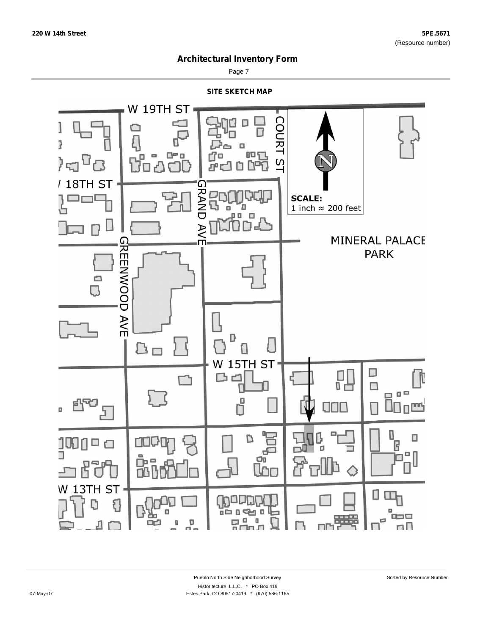

Page 7